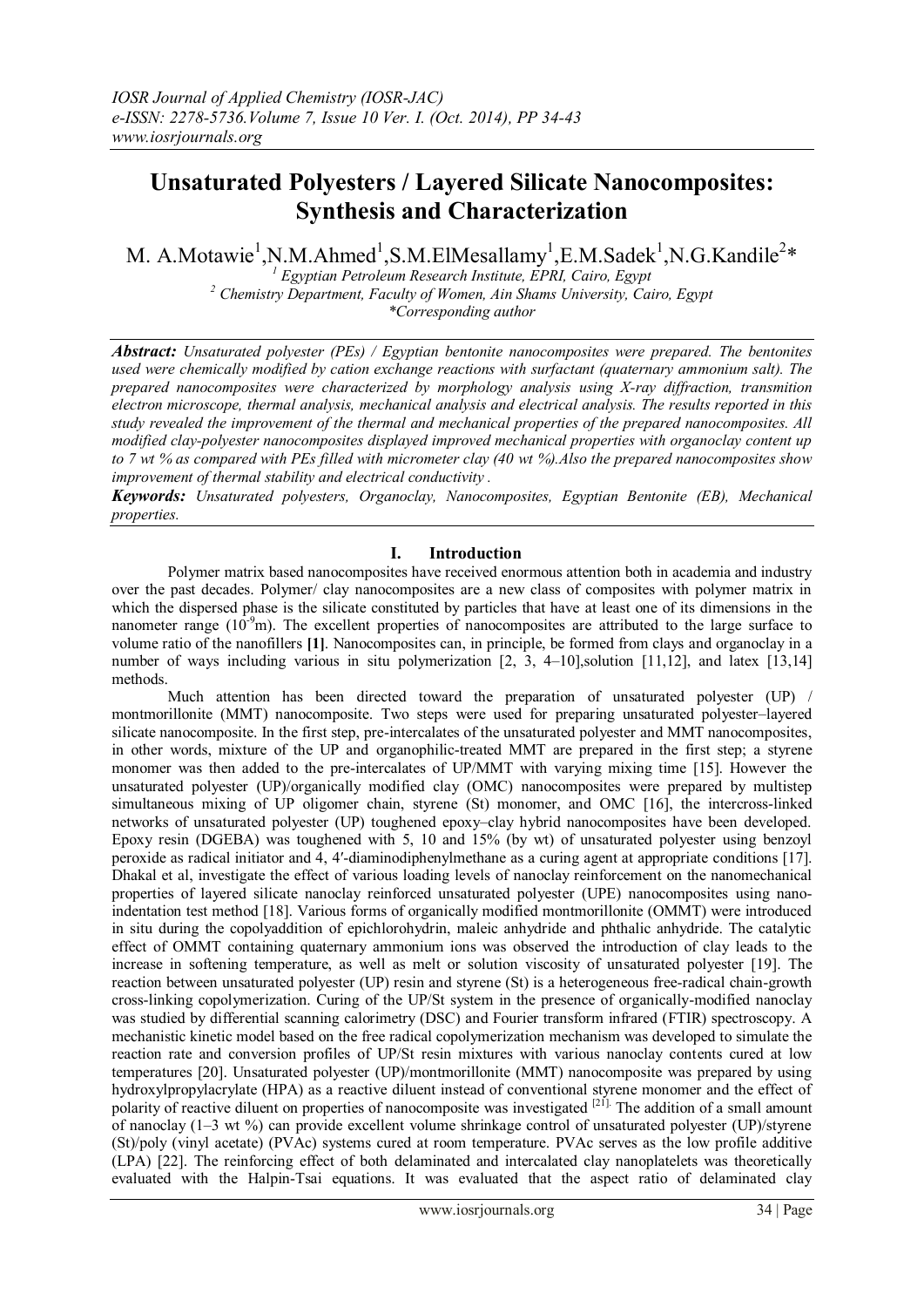# **Unsaturated Polyesters / Layered Silicate Nanocomposites: Synthesis and Characterization**

M. A.Motawie<sup>1</sup>, N.M.Ahmed<sup>1</sup>, S.M.ElMesallamy<sup>1</sup>, E.M.Sadek<sup>1</sup>, N.G.Kandile<sup>2</sup>\*

*<sup>1</sup> Egyptian Petroleum Research Institute, EPRI, Cairo, Egypt <sup>2</sup> Chemistry Department, Faculty of Women, Ain Shams University, Cairo, Egypt \*Corresponding author*

*Abstract: Unsaturated polyester (PEs) / Egyptian bentonite nanocomposites were prepared. The bentonites used were chemically modified by cation exchange reactions with surfactant (quaternary ammonium salt). The prepared nanocomposites were characterized by morphology analysis using X-ray diffraction, transmition electron microscope, thermal analysis, mechanical analysis and electrical analysis. The results reported in this study revealed the improvement of the thermal and mechanical properties of the prepared nanocomposites. All modified clay-polyester nanocomposites displayed improved mechanical properties with organoclay content up to 7 wt % as compared with PEs filled with micrometer clay (40 wt %).Also the prepared nanocomposites show improvement of thermal stability and electrical conductivity .*

*Keywords: Unsaturated polyesters, Organoclay, Nanocomposites, Egyptian Bentonite (EB), Mechanical properties.*

## **I. Introduction**

Polymer matrix based nanocomposites have received enormous attention both in academia and industry over the past decades. Polymer/ clay nanocomposites are a new class of composites with polymer matrix in which the dispersed phase is the silicate constituted by particles that have at least one of its dimensions in the nanometer range  $(10^{-9}m)$ . The excellent properties of nanocomposites are attributed to the large surface to volume ratio of the nanofillers **[1]**. Nanocomposites can, in principle, be formed from clays and organoclay in a number of ways including various in situ polymerization [2, 3, 4–10], solution [11,12], and latex [13,14] methods.

Much attention has been directed toward the preparation of unsaturated polyester (UP) / montmorillonite (MMT) nanocomposite. Two steps were used for preparing unsaturated polyester–layered silicate nanocomposite. In the first step, pre-intercalates of the unsaturated polyester and MMT nanocomposites, in other words, mixture of the UP and organophilic-treated MMT are prepared in the first step; a styrene monomer was then added to the pre-intercalates of UP/MMT with varying mixing time [15]. However the unsaturated polyester (UP)/organically modified clay (OMC) nanocomposites were prepared by multistep simultaneous mixing of UP oligomer chain, styrene (St) monomer, and OMC [16], the intercross-linked networks of unsaturated polyester (UP) toughened epoxy–clay hybrid nanocomposites have been developed. Epoxy resin (DGEBA) was toughened with 5, 10 and 15% (by wt) of unsaturated polyester using benzoyl peroxide as radical initiator and 4, 4′-diaminodiphenylmethane as a curing agent at appropriate conditions [17]. Dhakal et al, investigate the effect of various loading levels of nanoclay reinforcement on the nanomechanical properties of layered silicate nanoclay reinforced unsaturated polyester (UPE) nanocomposites using nanoindentation test method [18]. Various forms of organically modified montmorillonite (OMMT) were introduced in situ during the copolyaddition of epichlorohydrin, maleic anhydride and phthalic anhydride. The catalytic effect of OMMT containing quaternary ammonium ions was observed the introduction of clay leads to the increase in softening temperature, as well as melt or solution viscosity of unsaturated polyester [19]. The reaction between unsaturated polyester (UP) resin and styrene (St) is a heterogeneous free-radical chain-growth cross-linking copolymerization. Curing of the UP/St system in the presence of organically-modified nanoclay was studied by differential scanning calorimetry (DSC) and Fourier transform infrared (FTIR) spectroscopy. A mechanistic kinetic model based on the free radical copolymerization mechanism was developed to simulate the reaction rate and conversion profiles of UP/St resin mixtures with various nanoclay contents cured at low temperatures [20]. Unsaturated polyester (UP)/montmorillonite (MMT) nanocomposite was prepared by using hydroxylpropylacrylate (HPA) as a reactive diluent instead of conventional styrene monomer and the effect of polarity of reactive diluent on properties of nanocomposite was investigated <sup>[21]</sup>. The addition of a small amount of nanoclay (1–3 wt %) can provide excellent volume shrinkage control of unsaturated polyester (UP)/styrene (St)/poly (vinyl acetate) (PVAc) systems cured at room temperature. PVAc serves as the low profile additive (LPA) [22]. The reinforcing effect of both delaminated and intercalated clay nanoplatelets was theoretically evaluated with the Halpin-Tsai equations. It was evaluated that the aspect ratio of delaminated clay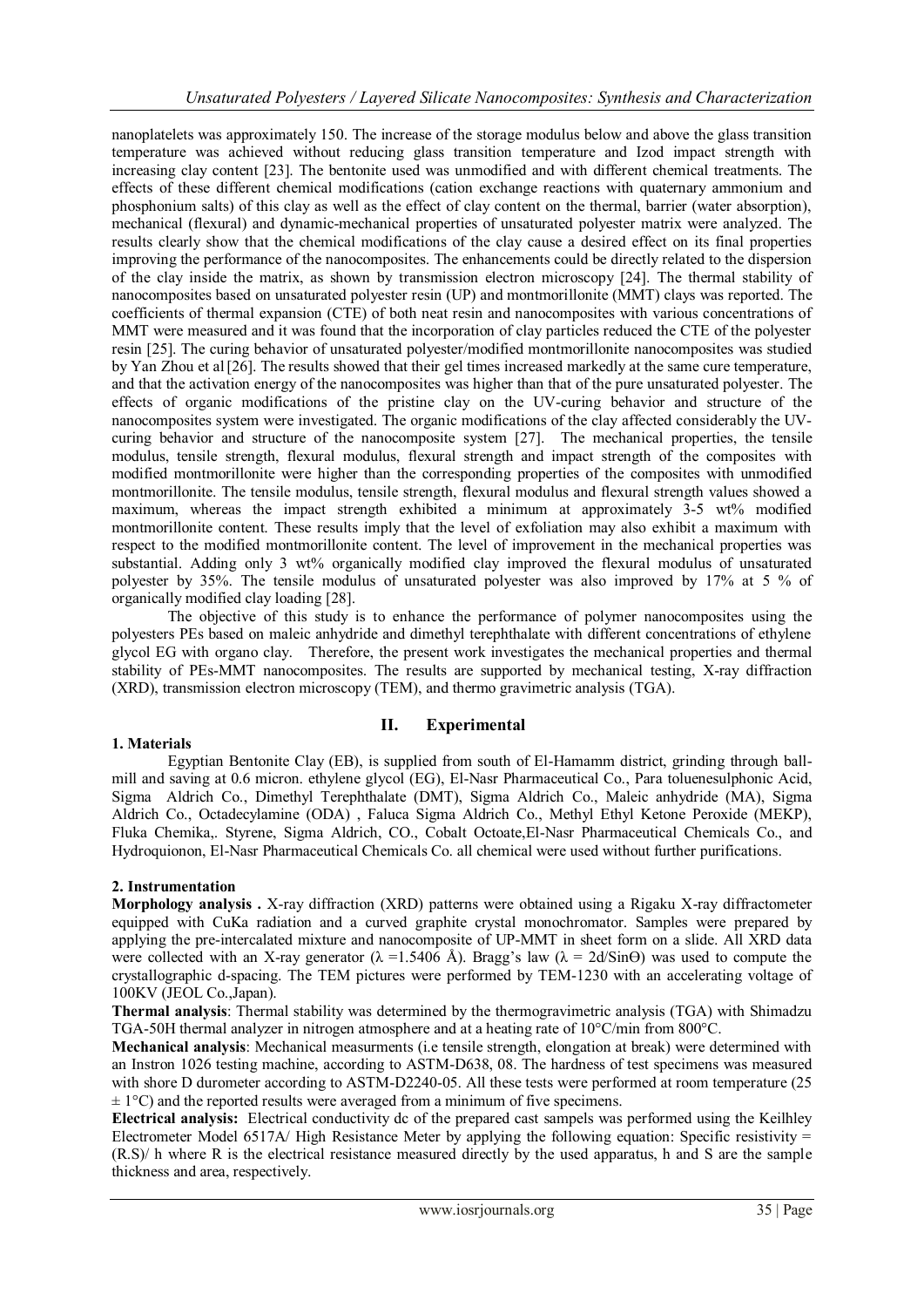nanoplatelets was approximately 150. The increase of the storage modulus below and above the glass transition temperature was achieved without reducing glass transition temperature and Izod impact strength with increasing clay content [23]. The bentonite used was unmodified and with different chemical treatments. The effects of these different chemical modifications (cation exchange reactions with quaternary ammonium and phosphonium salts) of this clay as well as the effect of clay content on the thermal, barrier (water absorption), mechanical (flexural) and dynamic-mechanical properties of unsaturated polyester matrix were analyzed. The results clearly show that the chemical modifications of the clay cause a desired effect on its final properties improving the performance of the nanocomposites. The enhancements could be directly related to the dispersion of the clay inside the matrix, as shown by transmission electron microscopy [24]. The thermal stability of nanocomposites based on unsaturated polyester resin (UP) and montmorillonite (MMT) clays was reported. The coefficients of thermal expansion (CTE) of both neat resin and nanocomposites with various concentrations of MMT were measured and it was found that the incorporation of clay particles reduced the CTE of the polyester resin [25]. The curing behavior of unsaturated polyester/modified montmorillonite nanocomposites was studied by Yan Zhou et al[26]. The results showed that their gel times increased markedly at the same cure temperature, and that the activation energy of the nanocomposites was higher than that of the pure unsaturated polyester. The effects of organic modifications of the pristine clay on the UV-curing behavior and structure of the nanocomposites system were investigated. The organic modifications of the clay affected considerably the UVcuring behavior and structure of the nanocomposite system [27]. The mechanical properties, the tensile modulus, tensile strength, flexural modulus, flexural strength and impact strength of the composites with modified montmorillonite were higher than the corresponding properties of the composites with unmodified montmorillonite. The tensile modulus, tensile strength, flexural modulus and flexural strength values showed a maximum, whereas the impact strength exhibited a minimum at approximately  $3-5$  wt% modified montmorillonite content. These results imply that the level of exfoliation may also exhibit a maximum with respect to the modified montmorillonite content. The level of improvement in the mechanical properties was substantial. Adding only 3 wt% organically modified clay improved the flexural modulus of unsaturated polyester by 35%. The tensile modulus of unsaturated polyester was also improved by 17% at 5 % of organically modified clay loading [28].

The objective of this study is to enhance the performance of polymer nanocomposites using the polyesters PEs based on maleic anhydride and dimethyl terephthalate with different concentrations of ethylene glycol EG with organo clay. Therefore, the present work investigates the mechanical properties and thermal stability of PEs-MMT nanocomposites. The results are supported by mechanical testing, X-ray diffraction (XRD), transmission electron microscopy (TEM), and thermo gravimetric analysis (TGA).

## **1. Materials**

## **II. Experimental**

Egyptian Bentonite Clay (EB), is supplied from south of El-Hamamm district, grinding through ballmill and saving at 0.6 micron. ethylene glycol (EG), El-Nasr Pharmaceutical Co., Para toluenesulphonic Acid, Sigma Aldrich Co., Dimethyl Terephthalate (DMT), Sigma Aldrich Co., Maleic anhydride (MA), Sigma Aldrich Co., Octadecylamine (ODA) , Faluca Sigma Aldrich Co., Methyl Ethyl Ketone Peroxide (MEKP), Fluka Chemika,. Styrene, Sigma Aldrich, CO., Cobalt Octoate,El-Nasr Pharmaceutical Chemicals Co., and Hydroquionon, El-Nasr Pharmaceutical Chemicals Co. all chemical were used without further purifications.

## **2. Instrumentation**

**Morphology analysis .** X-ray diffraction (XRD) patterns were obtained using a Rigaku X-ray diffractometer equipped with CuKa radiation and a curved graphite crystal monochromator. Samples were prepared by applying the pre-intercalated mixture and nanocomposite of UP-MMT in sheet form on a slide. All XRD data were collected with an X-ray generator ( $\lambda = 1.5406$  Å). Bragg's law ( $\lambda = 2d/Sin\Theta$ ) was used to compute the crystallographic d-spacing. The TEM pictures were performed by TEM-1230 with an accelerating voltage of 100KV (JEOL Co.,Japan).

**Thermal analysis**: Thermal stability was determined by the thermogravimetric analysis (TGA) with Shimadzu TGA-50H thermal analyzer in nitrogen atmosphere and at a heating rate of 10°C/min from 800°C.

**Mechanical analysis**: Mechanical measurments (i.e tensile strength, elongation at break) were determined with an Instron 1026 testing machine, according to ASTM-D638, 08. The hardness of test specimens was measured with shore D durometer according to ASTM-D2240-05. All these tests were performed at room temperature (25  $\pm$  1<sup>o</sup>C) and the reported results were averaged from a minimum of five specimens.

**Electrical analysis:** Electrical conductivity dc of the prepared cast sampels was performed using the Keilhley Electrometer Model 6517A/ High Resistance Meter by applying the following equation: Specific resistivity  $=$ (R.S)/ h where R is the electrical resistance measured directly by the used apparatus, h and S are the sample thickness and area, respectively.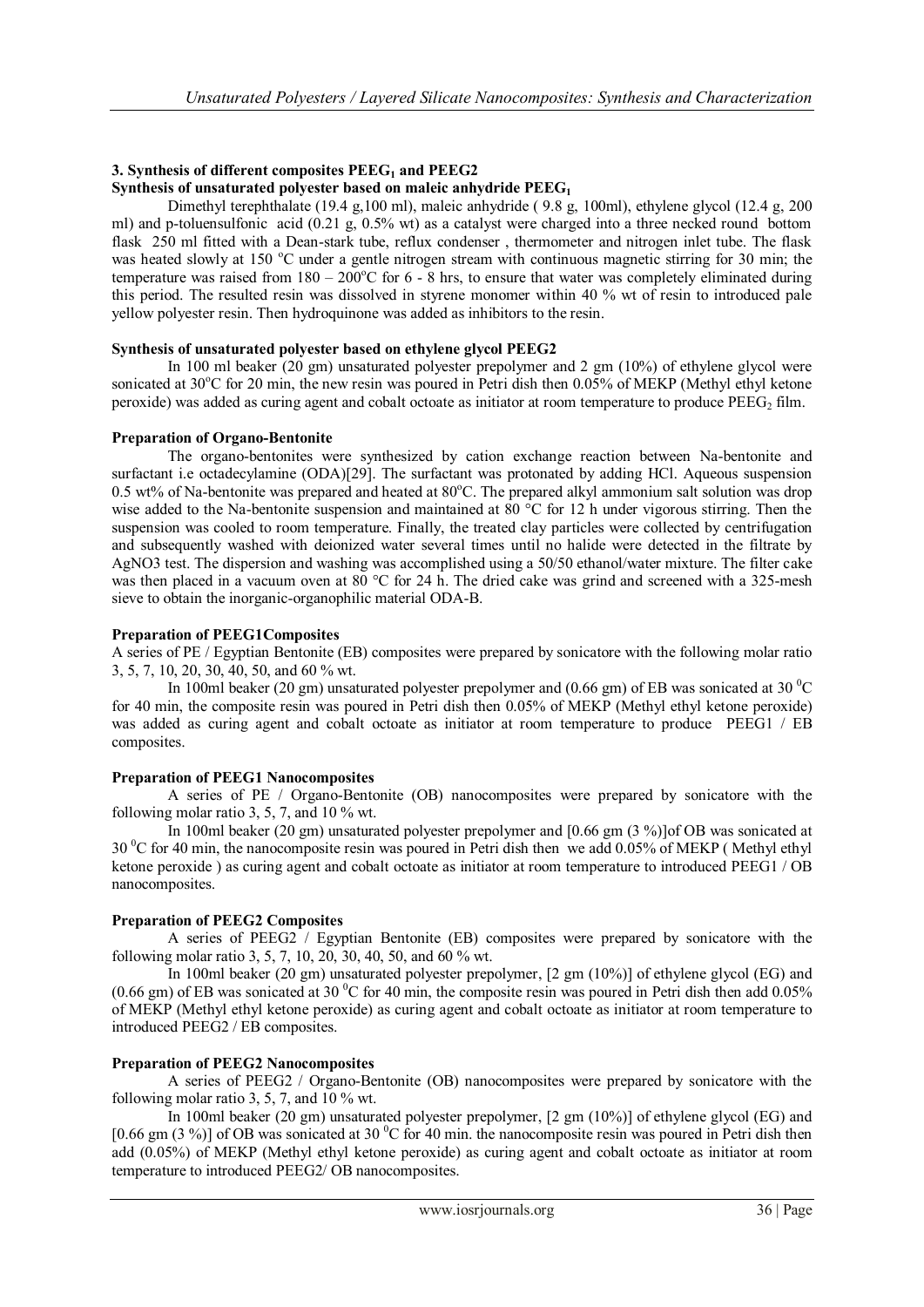## **3. Synthesis of different composites PEEG<sup>1</sup> and PEEG2**

## **Synthesis of unsaturated polyester based on maleic anhydride PEEG<sup>1</sup>**

Dimethyl terephthalate (19.4 g,100 ml), maleic anhydride ( 9.8 g, 100ml), ethylene glycol (12.4 g, 200 ml) and p-toluensulfonic acid (0.21 g, 0.5% wt) as a catalyst were charged into a three necked round bottom flask 250 ml fitted with a Dean-stark tube, reflux condenser , thermometer and nitrogen inlet tube. The flask was heated slowly at 150  $^{\circ}$ C under a gentle nitrogen stream with continuous magnetic stirring for 30 min; the temperature was raised from  $180 - 200^{\circ}$ C for 6 - 8 hrs, to ensure that water was completely eliminated during this period. The resulted resin was dissolved in styrene monomer within 40 % wt of resin to introduced pale yellow polyester resin. Then hydroquinone was added as inhibitors to the resin.

#### **Synthesis of unsaturated polyester based on ethylene glycol PEEG2**

In 100 ml beaker (20 gm) unsaturated polyester prepolymer and 2 gm (10%) of ethylene glycol were sonicated at 30°C for 20 min, the new resin was poured in Petri dish then 0.05% of MEKP (Methyl ethyl ketone peroxide) was added as curing agent and cobalt octoate as initiator at room temperature to produce  $PEEG<sub>2</sub>$  film.

#### **Preparation of Organo-Bentonite**

The organo-bentonites were synthesized by cation exchange reaction between Na-bentonite and surfactant i.e octadecylamine (ODA)[29]. The surfactant was protonated by adding HCl. Aqueous suspension 0.5 wt% of Na-bentonite was prepared and heated at  $80^{\circ}$ C. The prepared alkyl ammonium salt solution was drop wise added to the Na-bentonite suspension and maintained at 80 °C for 12 h under vigorous stirring. Then the suspension was cooled to room temperature. Finally, the treated clay particles were collected by centrifugation and subsequently washed with deionized water several times until no halide were detected in the filtrate by AgNO3 test. The dispersion and washing was accomplished using a 50/50 ethanol/water mixture. The filter cake was then placed in a vacuum oven at  $80^{\circ}$ C for 24 h. The dried cake was grind and screened with a 325-mesh sieve to obtain the inorganic-organophilic material ODA-B.

#### **Preparation of PEEG1Composites**

A series of PE / Egyptian Bentonite (EB) composites were prepared by sonicatore with the following molar ratio 3, 5, 7, 10, 20, 30, 40, 50, and 60 % wt.

In 100ml beaker (20 gm) unsaturated polyester prepolymer and (0.66 gm) of EB was sonicated at 30  $^{\circ}$ C for 40 min, the composite resin was poured in Petri dish then 0.05% of MEKP (Methyl ethyl ketone peroxide) was added as curing agent and cobalt octoate as initiator at room temperature to produce PEEG1 / EB composites.

## **Preparation of PEEG1 Nanocomposites**

A series of PE / Organo-Bentonite (OB) nanocomposites were prepared by sonicatore with the following molar ratio 3, 5, 7, and 10 % wt.

In 100ml beaker (20 gm) unsaturated polyester prepolymer and [0.66 gm (3 %)]of OB was sonicated at  $30<sup>0</sup>C$  for 40 min, the nanocomposite resin was poured in Petri dish then we add 0.05% of MEKP (Methyl ethyl ketone peroxide ) as curing agent and cobalt octoate as initiator at room temperature to introduced PEEG1 / OB nanocomposites.

## **Preparation of PEEG2 Composites**

A series of PEEG2 / Egyptian Bentonite (EB) composites were prepared by sonicatore with the following molar ratio 3, 5, 7, 10, 20, 30, 40, 50, and 60 % wt.

In 100ml beaker (20 gm) unsaturated polyester prepolymer, [2 gm (10%)] of ethylene glycol (EG) and (0.66 gm) of EB was sonicated at 30  $^{\circ}$ C for 40 min, the composite resin was poured in Petri dish then add 0.05% of MEKP (Methyl ethyl ketone peroxide) as curing agent and cobalt octoate as initiator at room temperature to introduced PEEG2 / EB composites.

## **Preparation of PEEG2 Nanocomposites**

A series of PEEG2 / Organo-Bentonite (OB) nanocomposites were prepared by sonicatore with the following molar ratio 3, 5, 7, and 10 % wt.

In 100ml beaker (20 gm) unsaturated polyester prepolymer, [2 gm (10%)] of ethylene glycol (EG) and [0.66 gm (3 %)] of OB was sonicated at 30  $^{\circ}$ C for 40 min. the nanocomposite resin was poured in Petri dish then add (0.05%) of MEKP (Methyl ethyl ketone peroxide) as curing agent and cobalt octoate as initiator at room temperature to introduced PEEG2/ OB nanocomposites.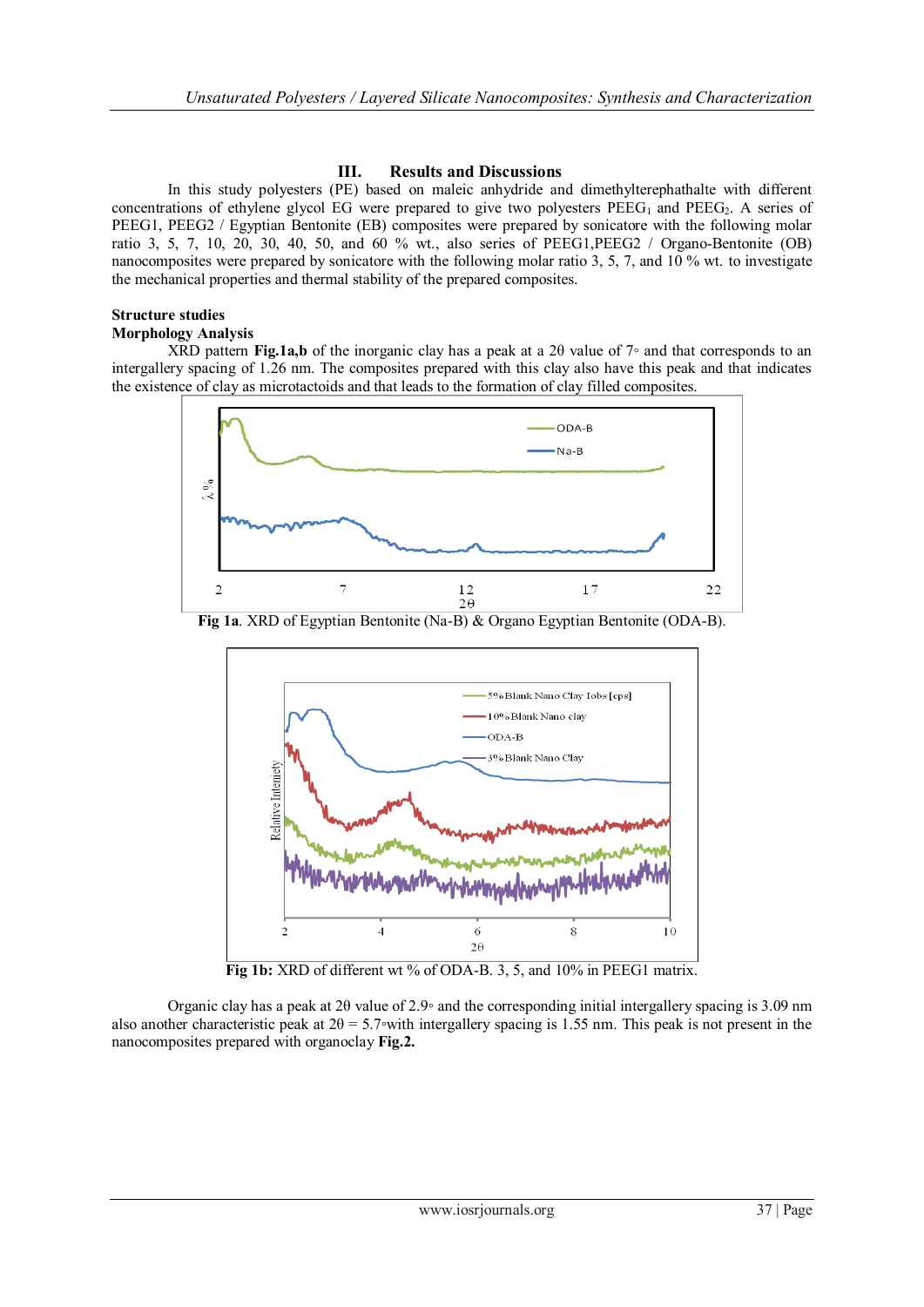## **III. Results and Discussions**

In this study polyesters (PE) based on maleic anhydride and dimethylterephathalte with different concentrations of ethylene glycol EG were prepared to give two polyesters  $PEEG_1$  and  $PEEG_2$ . A series of PEEG1, PEEG2 / Egyptian Bentonite (EB) composites were prepared by sonicatore with the following molar ratio 3, 5, 7, 10, 20, 30, 40, 50, and 60 % wt., also series of PEEG1,PEEG2 / Organo-Bentonite (OB) nanocomposites were prepared by sonicatore with the following molar ratio 3, 5, 7, and 10 % wt. to investigate the mechanical properties and thermal stability of the prepared composites.

## **Structure studies**

## **Morphology Analysis**

XRD pattern **Fig.1a,b** of the inorganic clay has a peak at a 2θ value of 7◦ and that corresponds to an intergallery spacing of 1.26 nm. The composites prepared with this clay also have this peak and that indicates the existence of clay as microtactoids and that leads to the formation of clay filled composites.



**Fig 1a**. XRD of Egyptian Bentonite (Na-B) & Organo Egyptian Bentonite (ODA-B).



Fig 1b: XRD of different wt % of ODA-B. 3, 5, and 10% in PEEG1 matrix.

Organic clay has a peak at  $2\theta$  value of  $2.9\degree$  and the corresponding initial intergallery spacing is 3.09 nm also another characteristic peak at  $2\theta = 5.7\text{ with intergallery spacing is } 1.55 \text{ nm}$ . This peak is not present in the nanocomposites prepared with organoclay **Fig.2.**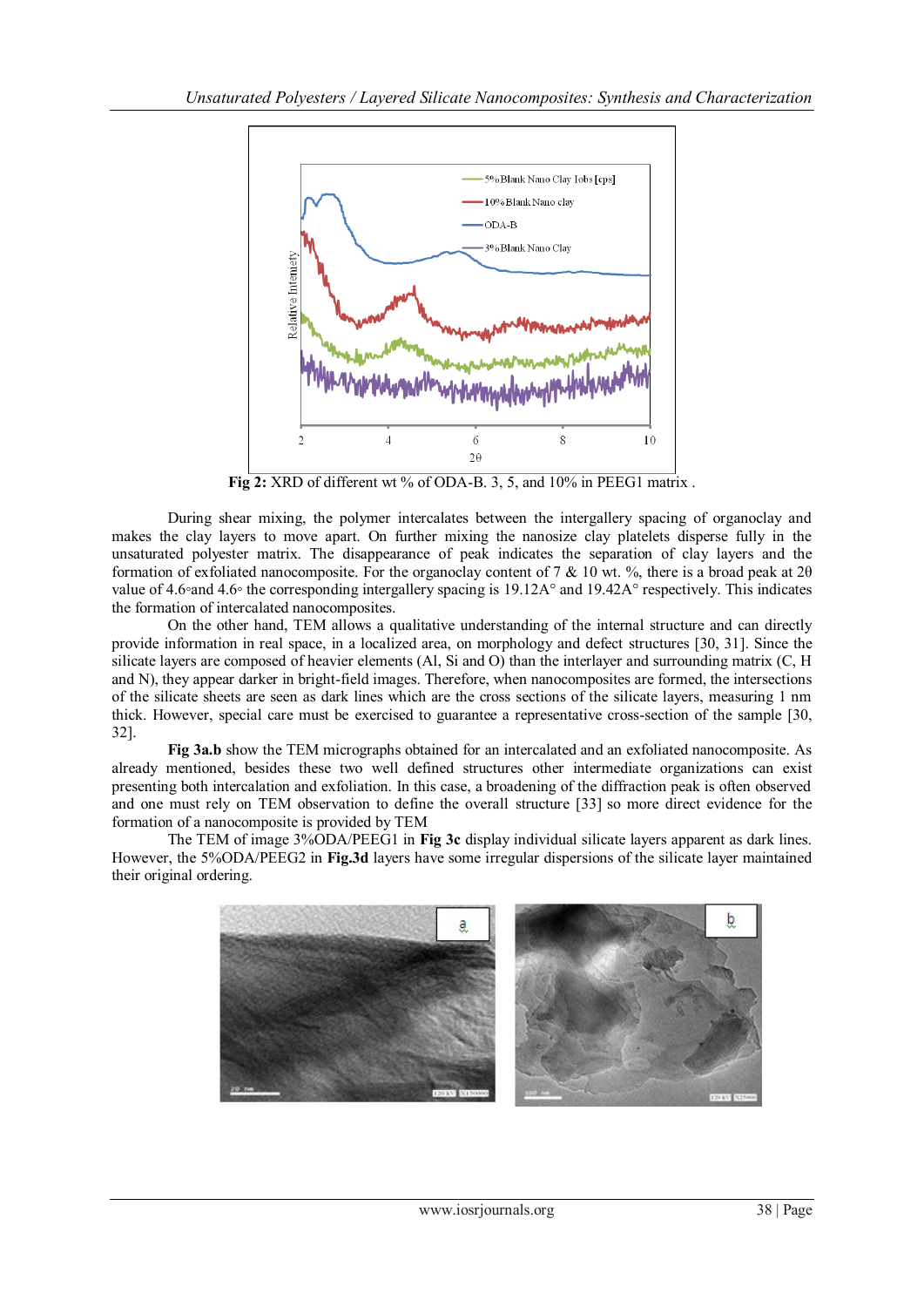

Fig 2: XRD of different wt % of ODA-B. 3, 5, and 10% in PEEG1 matrix.

During shear mixing, the polymer intercalates between the intergallery spacing of organoclay and makes the clay layers to move apart. On further mixing the nanosize clay platelets disperse fully in the unsaturated polyester matrix. The disappearance of peak indicates the separation of clay layers and the formation of exfoliated nanocomposite. For the organoclay content of 7 & 10 wt. %, there is a broad peak at 2θ value of 4.6∘and 4.6∘ the corresponding intergallery spacing is 19.12A° and 19.42A° respectively. This indicates the formation of intercalated nanocomposites.

On the other hand, TEM allows a qualitative understanding of the internal structure and can directly provide information in real space, in a localized area, on morphology and defect structures [30, 31]. Since the silicate layers are composed of heavier elements (Al, Si and O) than the interlayer and surrounding matrix (C, H and N), they appear darker in bright-field images. Therefore, when nanocomposites are formed, the intersections of the silicate sheets are seen as dark lines which are the cross sections of the silicate layers, measuring 1 nm thick. However, special care must be exercised to guarantee a representative cross-section of the sample [30, 32].

**Fig 3a.b** show the TEM micrographs obtained for an intercalated and an exfoliated nanocomposite. As already mentioned, besides these two well defined structures other intermediate organizations can exist presenting both intercalation and exfoliation. In this case, a broadening of the diffraction peak is often observed and one must rely on TEM observation to define the overall structure [33] so more direct evidence for the formation of a nanocomposite is provided by TEM

The TEM of image 3%ODA/PEEG1 in **Fig 3c** display individual silicate layers apparent as dark lines. However, the 5%ODA/PEEG2 in **Fig.3d** layers have some irregular dispersions of the silicate layer maintained their original ordering.

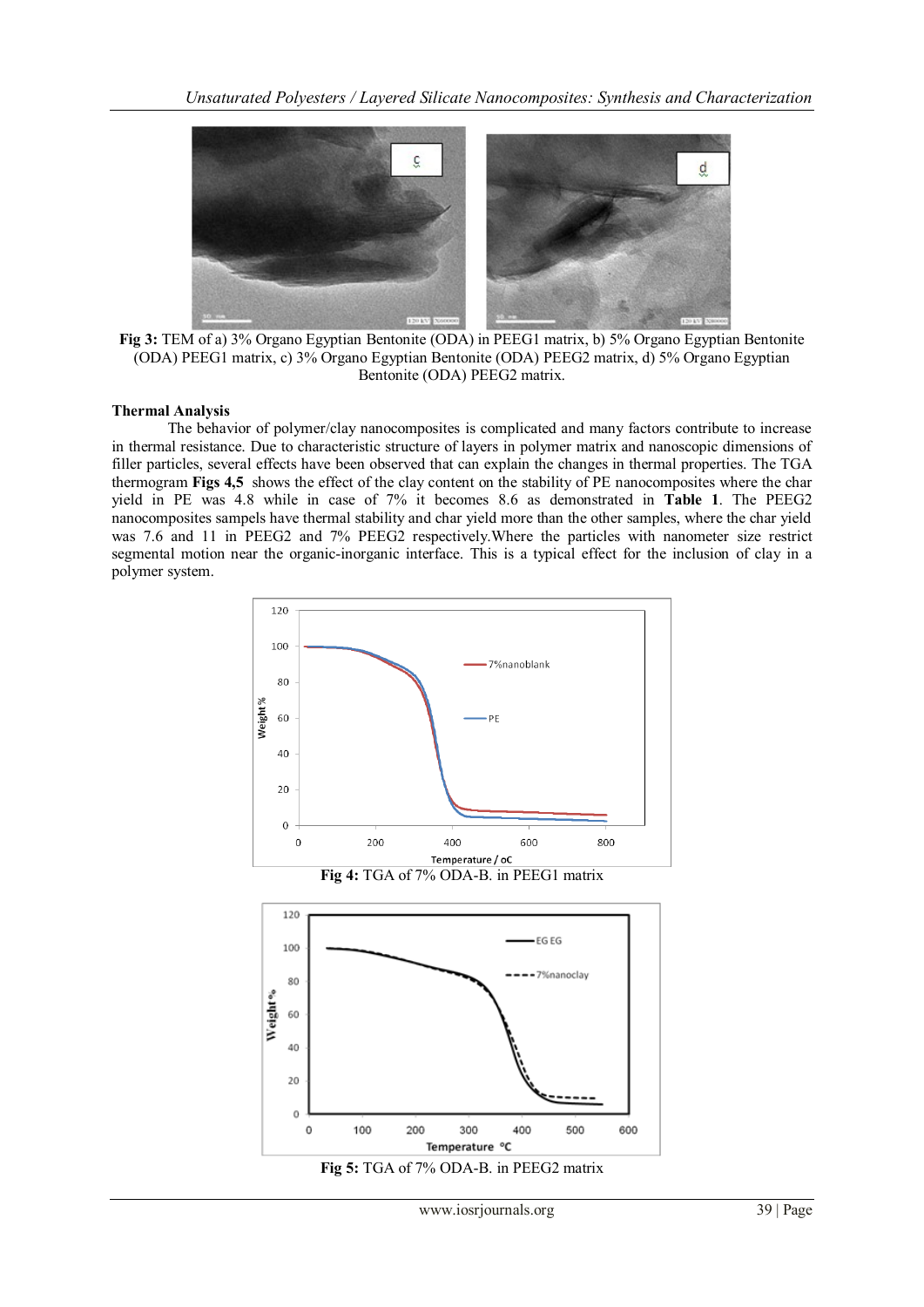

**Fig 3:** TEM of a) 3% Organo Egyptian Bentonite (ODA) in PEEG1 matrix, b) 5% Organo Egyptian Bentonite (ODA) PEEG1 matrix, c) 3% Organo Egyptian Bentonite (ODA) PEEG2 matrix, d) 5% Organo Egyptian Bentonite (ODA) PEEG2 matrix.

#### **Thermal Analysis**

The behavior of polymer/clay nanocomposites is complicated and many factors contribute to increase in thermal resistance. Due to characteristic structure of layers in polymer matrix and nanoscopic dimensions of filler particles, several effects have been observed that can explain the changes in thermal properties. The TGA thermogram **Figs 4,5** shows the effect of the clay content on the stability of PE nanocomposites where the char yield in PE was 4.8 while in case of 7% it becomes 8.6 as demonstrated in **Table 1**. The PEEG2 nanocomposites sampels have thermal stability and char yield more than the other samples, where the char yield was 7.6 and 11 in PEEG2 and 7% PEEG2 respectively.Where the particles with nanometer size restrict segmental motion near the organic-inorganic interface. This is a typical effect for the inclusion of clay in a polymer system.

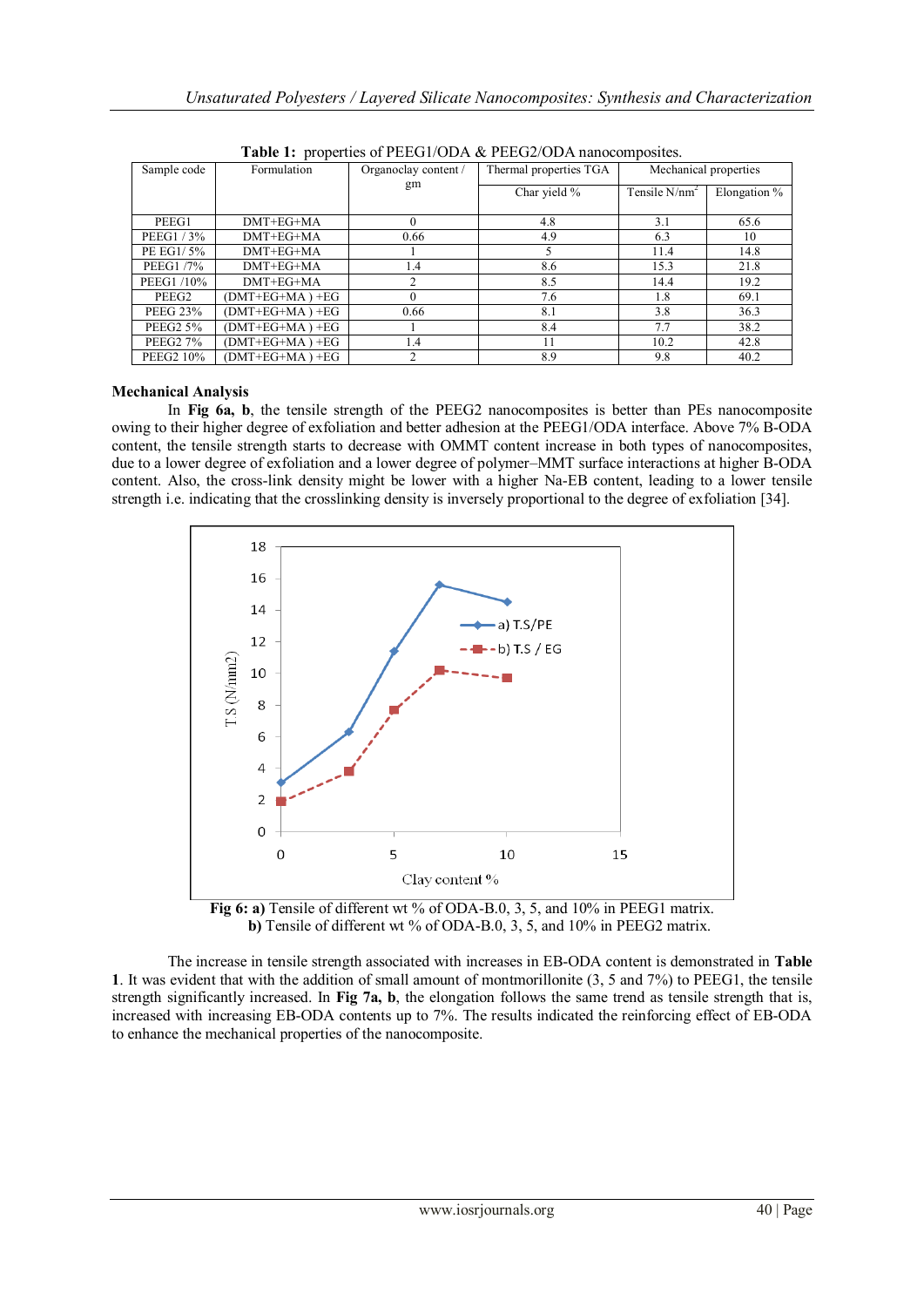| <b>Table 1:</b> properties of PEEGT/ODA $\alpha$ PEEGZ/ODA hanocomposites. |                 |                      |                        |                       |              |
|----------------------------------------------------------------------------|-----------------|----------------------|------------------------|-----------------------|--------------|
| Sample code                                                                | Formulation     | Organoclay content / | Thermal properties TGA | Mechanical properties |              |
|                                                                            |                 | gm                   | Char yield %           | Tensile $N/nm^2$      | Elongation % |
| PEEG1                                                                      | $DMT + EG + MA$ |                      | 4.8                    | 3.1                   | 65.6         |
| PEEG1/3%                                                                   | $DMT + EG + MA$ | 0.66                 | 4.9                    | 6.3                   | 10           |
| PE EG1/5%                                                                  | $DMT + EG + MA$ |                      |                        | 11.4                  | 14.8         |
| <b>PEEG1 /7%</b>                                                           | $DMT + EG + MA$ | 1.4                  | 8.6                    | 15.3                  | 21.8         |
| PEEG1 /10%                                                                 | $DMT + EG + MA$ |                      | 8.5                    | 14.4                  | 19.2         |
| PEEG2                                                                      | (DMT+EG+MA) +EG |                      | 7.6                    | 1.8                   | 69.1         |
| <b>PEEG 23%</b>                                                            | (DMT+EG+MA) +EG | 0.66                 | 8.1                    | 3.8                   | 36.3         |
| <b>PEEG2 5%</b>                                                            | (DMT+EG+MA) +EG |                      | 8.4                    | 7.7                   | 38.2         |
| <b>PEEG2 7%</b>                                                            | (DMT+EG+MA)+EG  | 1.4                  | 11                     | 10.2                  | 42.8         |
| PEEG2 10%                                                                  | (DMT+EG+MA) +EG |                      | 8.9                    | 9.8                   | 40.2         |

orties of **PEEG1/ODA** & PEEG2/ODA non

## **Mechanical Analysis**

In **Fig 6a, b**, the tensile strength of the PEEG2 nanocomposites is better than PEs nanocomposite owing to their higher degree of exfoliation and better adhesion at the PEEG1/ODA interface. Above 7% B-ODA content, the tensile strength starts to decrease with OMMT content increase in both types of nanocomposites, due to a lower degree of exfoliation and a lower degree of polymer–MMT surface interactions at higher B-ODA content. Also, the cross-link density might be lower with a higher Na-EB content, leading to a lower tensile strength i.e. indicating that the crosslinking density is inversely proportional to the degree of exfoliation [34].





The increase in tensile strength associated with increases in EB-ODA content is demonstrated in **Table 1**. It was evident that with the addition of small amount of montmorillonite (3, 5 and 7%) to PEEG1, the tensile strength significantly increased. In **Fig 7a, b**, the elongation follows the same trend as tensile strength that is, increased with increasing EB-ODA contents up to 7%. The results indicated the reinforcing effect of EB-ODA to enhance the mechanical properties of the nanocomposite.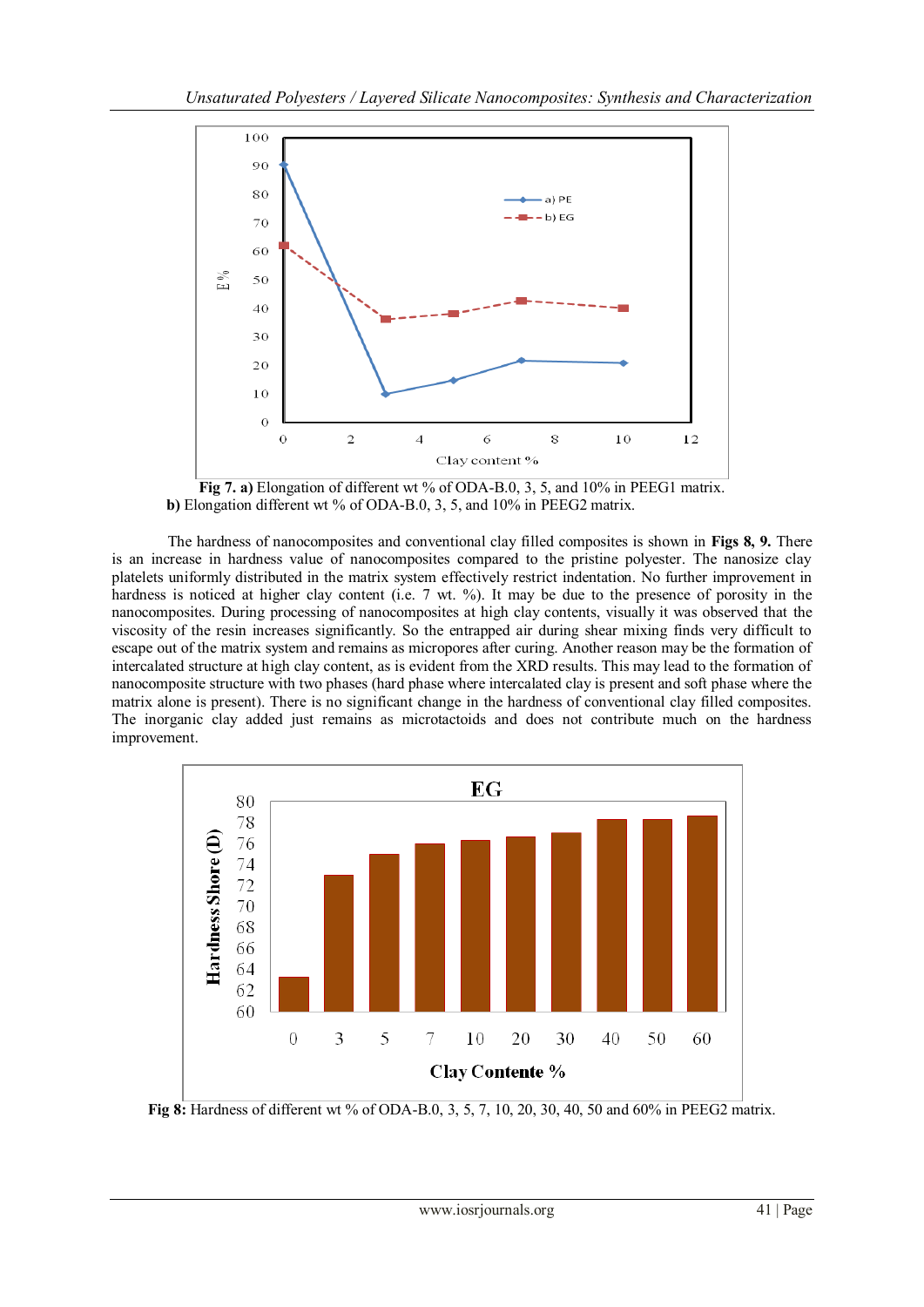

**Fig 7. a)** Elongation of different wt % of ODA-B.0, 3, 5, and 10% in PEEG1 matrix. **b)** Elongation different wt % of ODA-B.0, 3, 5, and 10% in PEEG2 matrix.

The hardness of nanocomposites and conventional clay filled composites is shown in **Figs 8, 9.** There is an increase in hardness value of nanocomposites compared to the pristine polyester. The nanosize clay platelets uniformly distributed in the matrix system effectively restrict indentation. No further improvement in hardness is noticed at higher clay content (i.e. 7 wt. %). It may be due to the presence of porosity in the nanocomposites. During processing of nanocomposites at high clay contents, visually it was observed that the viscosity of the resin increases significantly. So the entrapped air during shear mixing finds very difficult to escape out of the matrix system and remains as micropores after curing. Another reason may be the formation of intercalated structure at high clay content, as is evident from the XRD results. This may lead to the formation of nanocomposite structure with two phases (hard phase where intercalated clay is present and soft phase where the matrix alone is present). There is no significant change in the hardness of conventional clay filled composites. The inorganic clay added just remains as microtactoids and does not contribute much on the hardness improvement.



**Fig 8:** Hardness of different wt % of ODA-B.0, 3, 5, 7, 10, 20, 30, 40, 50 and 60% in PEEG2 matrix.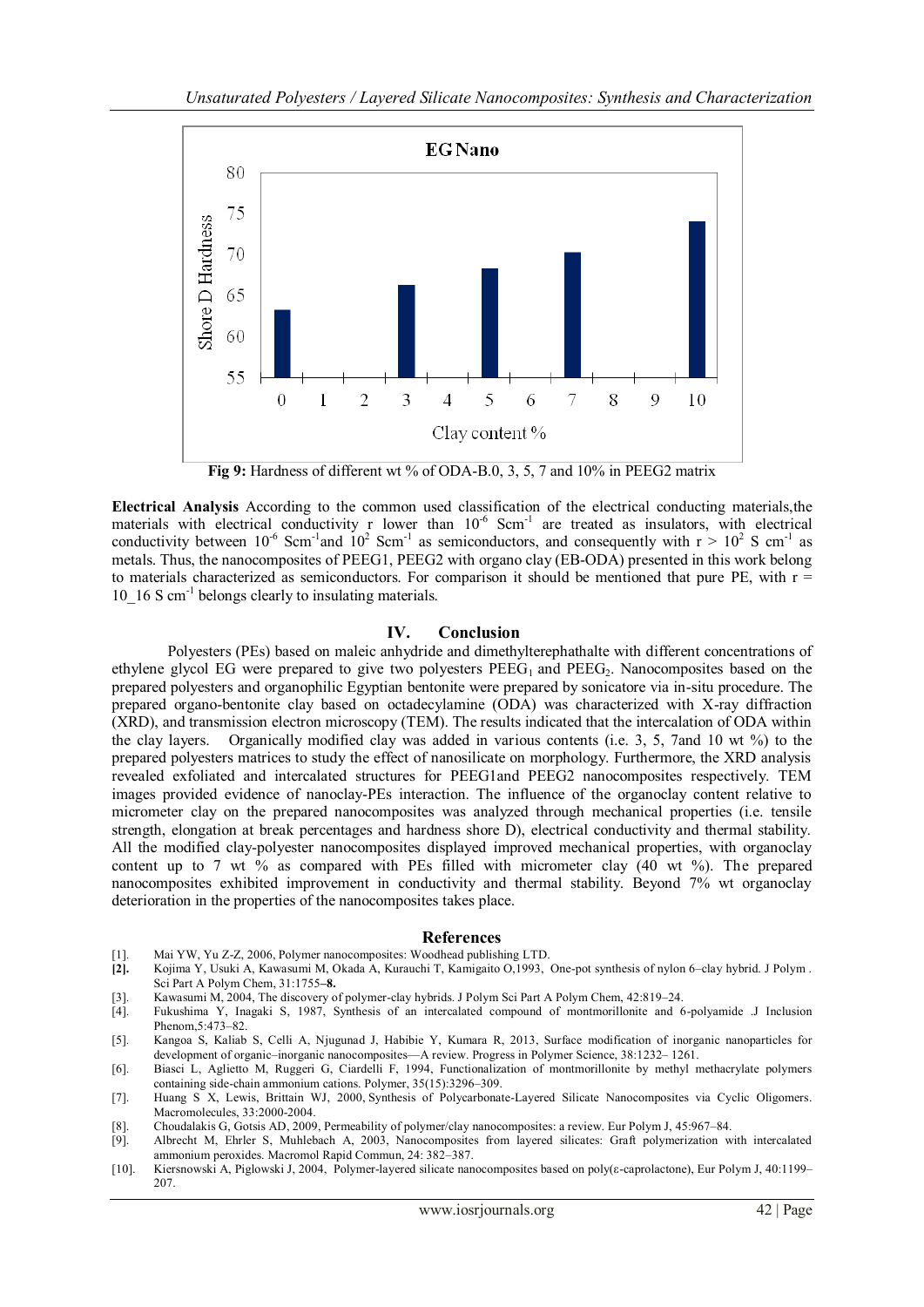

**Fig 9:** Hardness of different wt % of ODA-B.0, 3, 5, 7 and 10% in PEEG2 matrix

**Electrical Analysis** According to the common used classification of the electrical conducting materials,the materials with electrical conductivity r lower than  $10^{-6}$  Scm<sup>-1</sup> are treated as insulators, with electrical conductivity between  $10^{-6}$  Scm<sup>-1</sup> and  $10^{2}$  Scm<sup>-1</sup> as semiconductors, and consequently with  $r > 10^{2}$  S cm<sup>-1</sup> as metals. Thus, the nanocomposites of PEEG1, PEEG2 with organo clay (EB-ODA) presented in this work belong to materials characterized as semiconductors. For comparison it should be mentioned that pure PE, with  $r =$ 10\_16 S cm-1 belongs clearly to insulating materials.

#### **IV. Conclusion**

Polyesters (PEs) based on maleic anhydride and dimethylterephathalte with different concentrations of ethylene glycol EG were prepared to give two polyesters  $PEEG<sub>1</sub>$  and  $PEEG<sub>2</sub>$ . Nanocomposites based on the prepared polyesters and organophilic Egyptian bentonite were prepared by sonicatore via in-situ procedure. The prepared organo-bentonite clay based on octadecylamine (ODA) was characterized with X-ray diffraction (XRD), and transmission electron microscopy (TEM). The results indicated that the intercalation of ODA within the clay layers. Organically modified clay was added in various contents (i.e. 3, 5, 7and 10 wt %) to the prepared polyesters matrices to study the effect of nanosilicate on morphology. Furthermore, the XRD analysis revealed exfoliated and intercalated structures for PEEG1and PEEG2 nanocomposites respectively. TEM images provided evidence of nanoclay-PEs interaction. The influence of the organoclay content relative to micrometer clay on the prepared nanocomposites was analyzed through mechanical properties (i.e. tensile strength, elongation at break percentages and hardness shore D), electrical conductivity and thermal stability. All the modified clay-polyester nanocomposites displayed improved mechanical properties, with organoclay content up to 7 wt % as compared with PEs filled with micrometer clay (40 wt %). The prepared nanocomposites exhibited improvement in conductivity and thermal stability. Beyond 7% wt organoclay deterioration in the properties of the nanocomposites takes place.

#### **References**

- [1]. Mai YW, Yu Z-Z, 2006, Polymer nanocomposites: Woodhead publishing LTD.
- **[2].** Kojima Y, Usuki A, Kawasumi M, Okada A, Kurauchi T, Kamigaito O,1993, One-pot synthesis of nylon 6–clay hybrid. J Polym . Sci Part A Polym Chem, 31:1755**–8.**
- [3]. Kawasumi M, 2004, The discovery of polymer-clay hybrids. J Polym Sci Part A Polym Chem, 42:819–24.
- Fukushima Y, Inagaki S, 1987, Synthesis of an intercalated compound of montmorillonite and 6-polyamide .J Inclusion Phenom, 5:473–82.
- [5]. Kangoa S, Kaliab S, Celli A, Njugunad J, Habibie Y, Kumara R, 2013, Surface modification of inorganic nanoparticles for development of organic–inorganic nanocomposites—A review. Progress in Polymer Science, 38:1232– 1261.
- [6]. Biasci L, Aglietto M, Ruggeri G, Ciardelli F, 1994, Functionalization of montmorillonite by methyl methacrylate polymers containing side-chain ammonium cations. Polymer, 35(15):3296–309.
- [7]. Huang S X, Lewis, Brittain WJ, 2000, Synthesis of Polycarbonate-Layered Silicate Nanocomposites via Cyclic Oligomers. Macromolecules, 33:2000-2004.
- [8]. Choudalakis G, Gotsis AD, 2009, Permeability of polymer/clay nanocomposites: a review. Eur Polym J, 45:967–84.
- [9]. Albrecht M, Ehrler S, Muhlebach A, 2003, Nanocomposites from layered silicates: Graft polymerization with intercalated ammonium peroxides. Macromol Rapid Commun, 24: 382–387.
- [10]. Kiersnowski A, Piglowski J, 2004, Polymer-layered silicate nanocomposites based on poly(ε-caprolactone), Eur Polym J, 40:1199– 207.